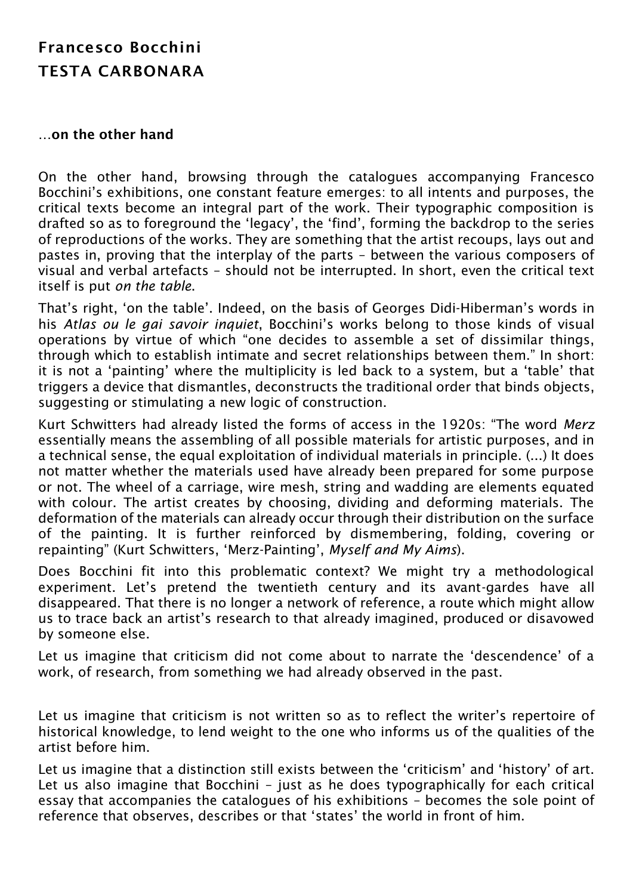## Francesco Bocchini TESTA CARBONARA

## …on the other hand

On the other hand, browsing through the catalogues accompanying Francesco Bocchini's exhibitions, one constant feature emerges: to all intents and purposes, the critical texts become an integral part of the work. Their typographic composition is drafted so as to foreground the 'legacy', the 'find', forming the backdrop to the series of reproductions of the works. They are something that the artist recoups, lays out and pastes in, proving that the interplay of the parts – between the various composers of visual and verbal artefacts – should not be interrupted. In short, even the critical text itself is put *on the table*.

That's right, 'on the table'. Indeed, on the basis of Georges Didi-Hiberman's words in his *Atlas ou le gai savoir inquiet*, Bocchini's works belong to those kinds of visual operations by virtue of which "one decides to assemble a set of dissimilar things, through which to establish intimate and secret relationships between them." In short: it is not a 'painting' where the multiplicity is led back to a system, but a 'table' that triggers a device that dismantles, deconstructs the traditional order that binds objects, suggesting or stimulating a new logic of construction.

Kurt Schwitters had already listed the forms of access in the 1920s: "The word *Merz* essentially means the assembling of all possible materials for artistic purposes, and in a technical sense, the equal exploitation of individual materials in principle. (...) It does not matter whether the materials used have already been prepared for some purpose or not. The wheel of a carriage, wire mesh, string and wadding are elements equated with colour. The artist creates by choosing, dividing and deforming materials. The deformation of the materials can already occur through their distribution on the surface of the painting. It is further reinforced by dismembering, folding, covering or repainting" (Kurt Schwitters, 'Merz-Painting', *Myself and My Aims*).

Does Bocchini fit into this problematic context? We might try a methodological experiment. Let's pretend the twentieth century and its avant-gardes have all disappeared. That there is no longer a network of reference, a route which might allow us to trace back an artist's research to that already imagined, produced or disavowed by someone else.

Let us imagine that criticism did not come about to narrate the 'descendence' of a work, of research, from something we had already observed in the past.

Let us imagine that criticism is not written so as to reflect the writer's repertoire of historical knowledge, to lend weight to the one who informs us of the qualities of the artist before him.

Let us imagine that a distinction still exists between the 'criticism' and 'history' of art. Let us also imagine that Bocchini – just as he does typographically for each critical essay that accompanies the catalogues of his exhibitions – becomes the sole point of reference that observes, describes or that 'states' the world in front of him.